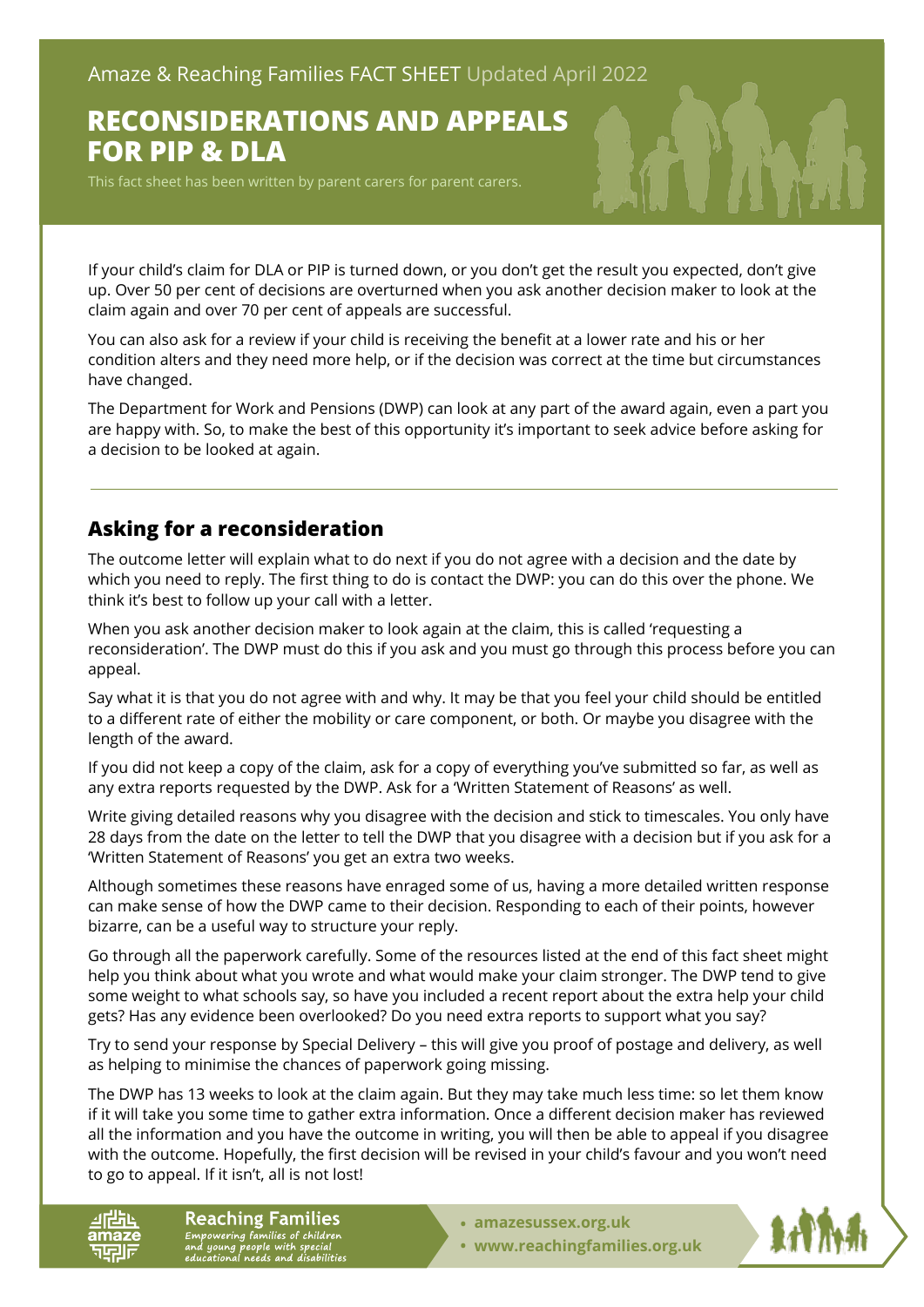# **RECONSIDERATIONS AND APPEALS FOR PIP & DLA**

This fact sheet has been written by parent carers for parent carers.

If your child's claim for DLA or PIP is turned down, or you don't get the result you expected, don't give up. Over 50 per cent of decisions are overturned when you ask another decision maker to look at the claim again and over 70 per cent of appeals are successful.

You can also ask for a review if your child is receiving the benefit at a lower rate and his or her condition alters and they need more help, or if the decision was correct at the time but circumstances have changed.

The Department for Work and Pensions (DWP) can look at any part of the award again, even a part you are happy with. So, to make the best of this opportunity it's important to seek advice before asking for a decision to be looked at again.

## **Asking for a reconsideration**

The outcome letter will explain what to do next if you do not agree with a decision and the date by which you need to reply. The first thing to do is contact the DWP: you can do this over the phone. We think it's best to follow up your call with a letter.

When you ask another decision maker to look again at the claim, this is called 'requesting a reconsideration'. The DWP must do this if you ask and you must go through this process before you can appeal.

Say what it is that you do not agree with and why. It may be that you feel your child should be entitled to a different rate of either the mobility or care component, or both. Or maybe you disagree with the length of the award.

If you did not keep a copy of the claim, ask for a copy of everything you've submitted so far, as well as any extra reports requested by the DWP. Ask for a 'Written Statement of Reasons' as well.

Write giving detailed reasons why you disagree with the decision and stick to timescales. You only have 28 days from the date on the letter to tell the DWP that you disagree with a decision but if you ask for a 'Written Statement of Reasons' you get an extra two weeks.

Although sometimes these reasons have enraged some of us, having a more detailed written response can make sense of how the DWP came to their decision. Responding to each of their points, however bizarre, can be a useful way to structure your reply.

Go through all the paperwork carefully. Some of the resources listed at the end of this fact sheet might help you think about what you wrote and what would make your claim stronger. The DWP tend to give some weight to what schools say, so have you included a recent report about the extra help your child gets? Has any evidence been overlooked? Do you need extra reports to support what you say?

Try to send your response by Special Delivery – this will give you proof of postage and delivery, as well as helping to minimise the chances of paperwork going missing.

The DWP has 13 weeks to look at the claim again. But they may take much less time: so let them know if it will take you some time to gather extra information. Once a different decision maker has reviewed all the information and you have the outcome in writing, you will then be able to appeal if you disagree with the outcome. Hopefully, the first decision will be revised in your child's favour and you won't need to go to appeal. If it isn't, all is not lost!

**Reaching Families** Empowering families of children<br>and young people with special<br>educational needs and disabilities

- **• [amazesussex.org.uk](https://amazesussex.org.uk)**
- **[www.reachingfamilies.org.uk](https://www.reachingfamilies.org.uk)**

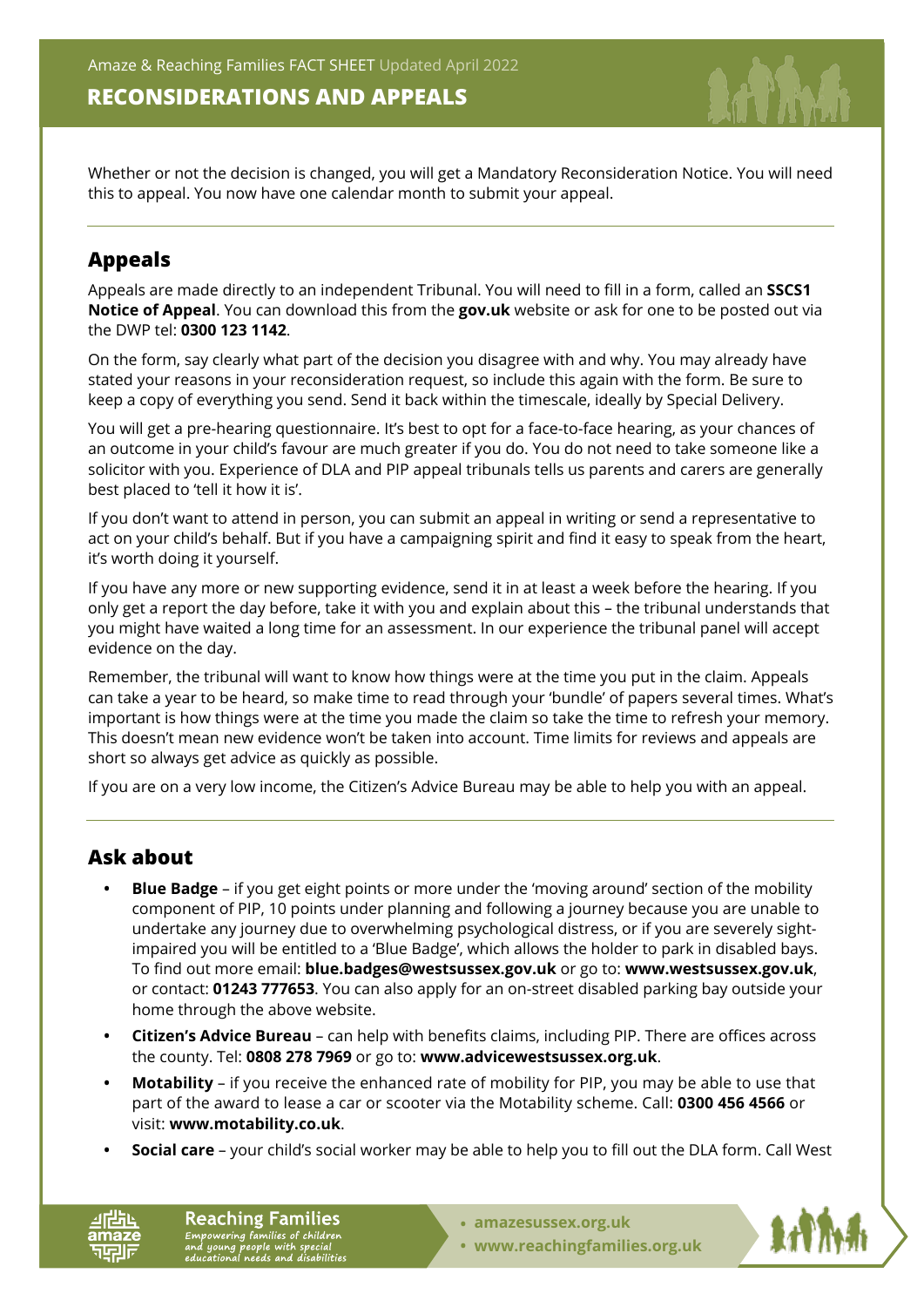## **RECONSIDERATIONS AND APPEALS**

Whether or not the decision is changed, you will get a Mandatory Reconsideration Notice. You will need this to appeal. You now have one calendar month to submit your appeal.

## **Appeals**

Appeals are made directly to an independent Tribunal. You will need to fill in a form, called an **SSCS1 Notice of Appeal**. You can download this from the **[gov.uk](https://www.gov.uk/)** website or ask for one to be posted out via the DWP tel: **0300 123 1142**.

On the form, say clearly what part of the decision you disagree with and why. You may already have stated your reasons in your reconsideration request, so include this again with the form. Be sure to keep a copy of everything you send. Send it back within the timescale, ideally by Special Delivery.

You will get a pre-hearing questionnaire. It's best to opt for a face-to-face hearing, as your chances of an outcome in your child's favour are much greater if you do. You do not need to take someone like a solicitor with you. Experience of DLA and PIP appeal tribunals tells us parents and carers are generally best placed to 'tell it how it is'.

If you don't want to attend in person, you can submit an appeal in writing or send a representative to act on your child's behalf. But if you have a campaigning spirit and find it easy to speak from the heart, it's worth doing it yourself.

If you have any more or new supporting evidence, send it in at least a week before the hearing. If you only get a report the day before, take it with you and explain about this – the tribunal understands that you might have waited a long time for an assessment. In our experience the tribunal panel will accept evidence on the day.

Remember, the tribunal will want to know how things were at the time you put in the claim. Appeals can take a year to be heard, so make time to read through your 'bundle' of papers several times. What's important is how things were at the time you made the claim so take the time to refresh your memory. This doesn't mean new evidence won't be taken into account. Time limits for reviews and appeals are short so always get advice as quickly as possible.

If you are on a very low income, the Citizen's Advice Bureau may be able to help you with an appeal.

## **Ask about**

- **• Blue Badge**  if you get eight points or more under the 'moving around' section of the mobility component of PIP, 10 points under planning and following a journey because you are unable to undertake any journey due to overwhelming psychological distress, or if you are severely sightimpaired you will be entitled to a 'Blue Badge', which allows the holder to park in disabled bays. To find out more email: **blue.badges@westsussex.gov.uk** or go to: **[www.westsussex.gov.uk](https://www.westsussex.gov.uk)**, or contact: **01243 777653**. You can also apply for an on-street disabled parking bay outside your home through the above website.
- **• Citizen's Advice Bureau**  can help with benefits claims, including PIP. There are offices across the county. Tel: **0808 278 7969** or go to: **[www.advicewestsussex.org.uk](https://www.advicewestsussex.org.uk)**.
- **• Motability**  if you receive the enhanced rate of mobility for PIP, you may be able to use that part of the award to lease a car or scooter via the Motability scheme. Call: **0300 456 4566** or visit: **[www.motability.co.uk](https://www.motability.co.uk)**.
- **• Social care**  your child's social worker may be able to help you to fill out the DLA form. Call West

**Reaching Families** Empowering families of children<br>and young people with special<br>educational needs and disabilities

- **• [amazesussex.org.uk](https://amazesussex.org.uk)**
- **[www.reachingfamilies.org.uk](https://www.reachingfamilies.org.uk)**